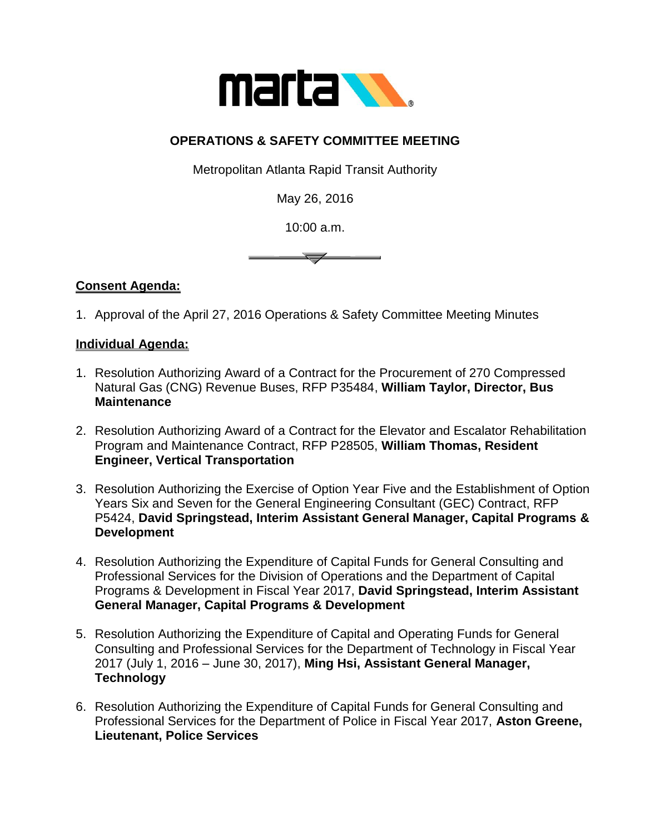

## **OPERATIONS & SAFETY COMMITTEE MEETING**

Metropolitan Atlanta Rapid Transit Authority

May 26, 2016

10:00 a.m.



## **Consent Agenda:**

1. Approval of the April 27, 2016 Operations & Safety Committee Meeting Minutes

## **Individual Agenda:**

- 1. Resolution Authorizing Award of a Contract for the Procurement of 270 Compressed Natural Gas (CNG) Revenue Buses, RFP P35484, **William Taylor, Director, Bus Maintenance**
- 2. Resolution Authorizing Award of a Contract for the Elevator and Escalator Rehabilitation Program and Maintenance Contract, RFP P28505, **William Thomas, Resident Engineer, Vertical Transportation**
- 3. Resolution Authorizing the Exercise of Option Year Five and the Establishment of Option Years Six and Seven for the General Engineering Consultant (GEC) Contract, RFP P5424, **David Springstead, Interim Assistant General Manager, Capital Programs & Development**
- 4. Resolution Authorizing the Expenditure of Capital Funds for General Consulting and Professional Services for the Division of Operations and the Department of Capital Programs & Development in Fiscal Year 2017, **David Springstead, Interim Assistant General Manager, Capital Programs & Development**
- 5. Resolution Authorizing the Expenditure of Capital and Operating Funds for General Consulting and Professional Services for the Department of Technology in Fiscal Year 2017 (July 1, 2016 – June 30, 2017), **Ming Hsi, Assistant General Manager, Technology**
- 6. Resolution Authorizing the Expenditure of Capital Funds for General Consulting and Professional Services for the Department of Police in Fiscal Year 2017, **Aston Greene, Lieutenant, Police Services**